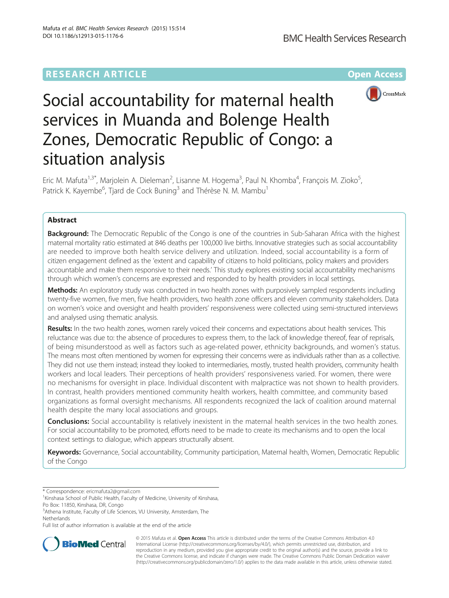# **RESEARCH ARTICLE External Structure of the Contract Open Access**



# Social accountability for maternal health services in Muanda and Bolenge Health Zones, Democratic Republic of Congo: a situation analysis

Eric M. Mafuta<sup>1,3\*</sup>, Marjolein A. Dieleman<sup>2</sup>, Lisanne M. Hogema<sup>3</sup>, Paul N. Khomba<sup>4</sup>, François M. Zioko<sup>5</sup> , Patrick K. Kayembe<sup>6</sup>, Tjard de Cock Buning<sup>3</sup> and Thérèse N. M. Mambu<sup>1</sup>

## Abstract

Background: The Democratic Republic of the Congo is one of the countries in Sub-Saharan Africa with the highest maternal mortality ratio estimated at 846 deaths per 100,000 live births. Innovative strategies such as social accountability are needed to improve both health service delivery and utilization. Indeed, social accountability is a form of citizen engagement defined as the 'extent and capability of citizens to hold politicians, policy makers and providers accountable and make them responsive to their needs.' This study explores existing social accountability mechanisms through which women's concerns are expressed and responded to by health providers in local settings.

Methods: An exploratory study was conducted in two health zones with purposively sampled respondents including twenty-five women, five men, five health providers, two health zone officers and eleven community stakeholders. Data on women's voice and oversight and health providers' responsiveness were collected using semi-structured interviews and analysed using thematic analysis.

Results: In the two health zones, women rarely voiced their concerns and expectations about health services. This reluctance was due to: the absence of procedures to express them, to the lack of knowledge thereof, fear of reprisals, of being misunderstood as well as factors such as age-related power, ethnicity backgrounds, and women's status. The means most often mentioned by women for expressing their concerns were as individuals rather than as a collective. They did not use them instead; instead they looked to intermediaries, mostly, trusted health providers, community health workers and local leaders. Their perceptions of health providers' responsiveness varied. For women, there were no mechanisms for oversight in place. Individual discontent with malpractice was not shown to health providers. In contrast, health providers mentioned community health workers, health committee, and community based organizations as formal oversight mechanisms. All respondents recognized the lack of coalition around maternal health despite the many local associations and groups.

**Conclusions:** Social accountability is relatively inexistent in the maternal health services in the two health zones. For social accountability to be promoted, efforts need to be made to create its mechanisms and to open the local context settings to dialogue, which appears structurally absent.

Keywords: Governance, Social accountability, Community participation, Maternal health, Women, Democratic Republic of the Congo

Full list of author information is available at the end of the article



© 2015 Mafuta et al. Open Access This article is distributed under the terms of the Creative Commons Attribution 4.0 International License [\(http://creativecommons.org/licenses/by/4.0/](http://creativecommons.org/licenses/by/4.0/)), which permits unrestricted use, distribution, and reproduction in any medium, provided you give appropriate credit to the original author(s) and the source, provide a link to the Creative Commons license, and indicate if changes were made. The Creative Commons Public Domain Dedication waiver [\(http://creativecommons.org/publicdomain/zero/1.0/](http://creativecommons.org/publicdomain/zero/1.0/)) applies to the data made available in this article, unless otherwise stated.

<sup>\*</sup> Correspondence: [ericmafuta2@gmail.com](mailto:ericmafuta2@gmail.com) <sup>1</sup>

<sup>&</sup>lt;sup>1</sup> Kinshasa School of Public Health, Faculty of Medicine, University of Kinshasa, Po Box: 11850, Kinshasa, DR, Congo

<sup>&</sup>lt;sup>3</sup>Athena Institute, Faculty of Life Sciences, VU University, Amsterdam, The Netherlands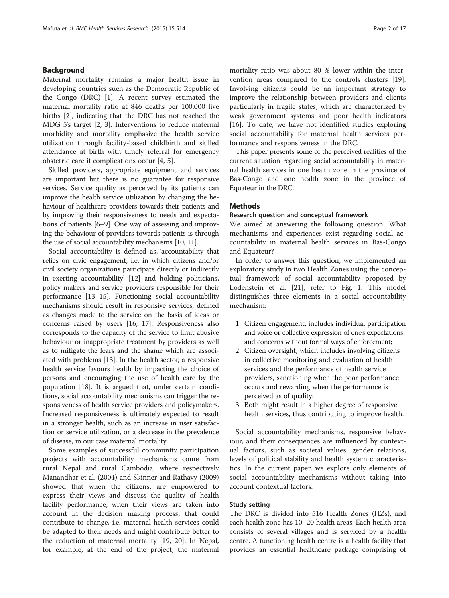#### Background

Maternal mortality remains a major health issue in developing countries such as the Democratic Republic of the Congo (DRC) [\[1](#page-14-0)]. A recent survey estimated the maternal mortality ratio at 846 deaths per 100,000 live births [\[2](#page-14-0)], indicating that the DRC has not reached the MDG 5's target [\[2](#page-14-0), [3\]](#page-14-0). Interventions to reduce maternal morbidity and mortality emphasize the health service utilization through facility-based childbirth and skilled attendance at birth with timely referral for emergency obstetric care if complications occur [[4, 5\]](#page-14-0).

Skilled providers, appropriate equipment and services are important but there is no guarantee for responsive services. Service quality as perceived by its patients can improve the health service utilization by changing the behaviour of healthcare providers towards their patients and by improving their responsiveness to needs and expectations of patients [\[6](#page-15-0)–[9](#page-15-0)]. One way of assessing and improving the behaviour of providers towards patients is through the use of social accountability mechanisms [[10](#page-15-0), [11](#page-15-0)].

Social accountability is defined as, 'accountability that relies on civic engagement, i.e. in which citizens and/or civil society organizations participate directly or indirectly in exerting accountability' [[12](#page-15-0)] and holding politicians, policy makers and service providers responsible for their performance [\[13](#page-15-0)–[15\]](#page-15-0). Functioning social accountability mechanisms should result in responsive services, defined as changes made to the service on the basis of ideas or concerns raised by users [[16](#page-15-0), [17\]](#page-15-0). Responsiveness also corresponds to the capacity of the service to limit abusive behaviour or inappropriate treatment by providers as well as to mitigate the fears and the shame which are associated with problems [\[13](#page-15-0)]. In the health sector, a responsive health service favours health by impacting the choice of persons and encouraging the use of health care by the population [[18](#page-15-0)]. It is argued that, under certain conditions, social accountability mechanisms can trigger the responsiveness of health service providers and policymakers. Increased responsiveness is ultimately expected to result in a stronger health, such as an increase in user satisfaction or service utilization, or a decrease in the prevalence of disease, in our case maternal mortality.

Some examples of successful community participation projects with accountability mechanisms come from rural Nepal and rural Cambodia, where respectively Manandhar et al. (2004) and Skinner and Rathavy (2009) showed that when the citizens, are empowered to express their views and discuss the quality of health facility performance, when their views are taken into account in the decision making process, that could contribute to change, i.e. maternal health services could be adapted to their needs and might contribute better to the reduction of maternal mortality [\[19](#page-15-0), [20\]](#page-15-0). In Nepal, for example, at the end of the project, the maternal mortality ratio was about 80 % lower within the intervention areas compared to the controls clusters [\[19](#page-15-0)]. Involving citizens could be an important strategy to improve the relationship between providers and clients particularly in fragile states, which are characterized by weak government systems and poor health indicators [[16\]](#page-15-0). To date, we have not identified studies exploring social accountability for maternal health services performance and responsiveness in the DRC.

This paper presents some of the perceived realities of the current situation regarding social accountability in maternal health services in one health zone in the province of Bas-Congo and one health zone in the province of Equateur in the DRC.

#### **Methods**

#### Research question and conceptual framework

We aimed at answering the following question: What mechanisms and experiences exist regarding social accountability in maternal health services in Bas-Congo and Equateur?

In order to answer this question, we implemented an exploratory study in two Health Zones using the conceptual framework of social accountability proposed by Lodenstein et al. [\[21\]](#page-15-0), refer to Fig. [1](#page-2-0). This model distinguishes three elements in a social accountability mechanism:

- 1. Citizen engagement, includes individual participation and voice or collective expression of one's expectations and concerns without formal ways of enforcement;
- 2. Citizen oversight, which includes involving citizens in collective monitoring and evaluation of health services and the performance of health service providers, sanctioning when the poor performance occurs and rewarding when the performance is perceived as of quality;
- 3. Both might result in a higher degree of responsive health services, thus contributing to improve health.

Social accountability mechanisms, responsive behaviour, and their consequences are influenced by contextual factors, such as societal values, gender relations, levels of political stability and health system characteristics. In the current paper, we explore only elements of social accountability mechanisms without taking into account contextual factors.

#### Study setting

The DRC is divided into 516 Health Zones (HZs), and each health zone has 10–20 health areas. Each health area consists of several villages and is serviced by a health centre. A functioning health centre is a health facility that provides an essential healthcare package comprising of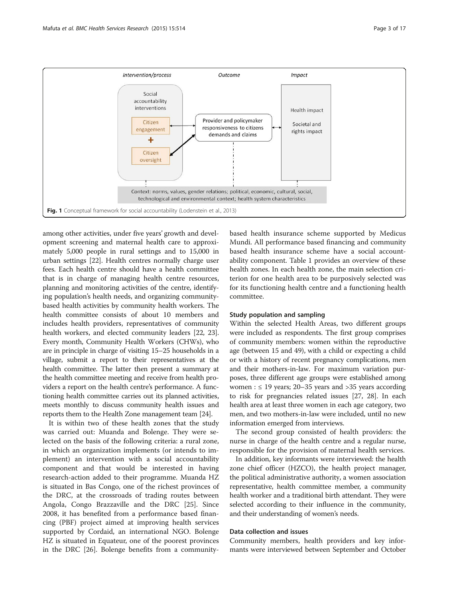<span id="page-2-0"></span>

among other activities, under five years' growth and development screening and maternal health care to approximately 5,000 people in rural settings and to 15,000 in urban settings [\[22](#page-15-0)]. Health centres normally charge user fees. Each health centre should have a health committee that is in charge of managing health centre resources, planning and monitoring activities of the centre, identifying population's health needs, and organizing communitybased health activities by community health workers. The health committee consists of about 10 members and includes health providers, representatives of community health workers, and elected community leaders [[22](#page-15-0), [23](#page-15-0)]. Every month, Community Health Workers (CHWs), who are in principle in charge of visiting 15–25 households in a village, submit a report to their representatives at the health committee. The latter then present a summary at the health committee meeting and receive from health providers a report on the health centre's performance. A functioning health committee carries out its planned activities, meets monthly to discuss community health issues and reports them to the Health Zone management team [[24](#page-15-0)].

It is within two of these health zones that the study was carried out: Muanda and Bolenge. They were selected on the basis of the following criteria: a rural zone, in which an organization implements (or intends to implement) an intervention with a social accountability component and that would be interested in having research-action added to their programme. Muanda HZ is situated in Bas Congo, one of the richest provinces of the DRC, at the crossroads of trading routes between Angola, Congo Brazzaville and the DRC [\[25](#page-15-0)]. Since 2008, it has benefited from a performance based financing (PBF) project aimed at improving health services supported by Cordaid, an international NGO. Bolenge HZ is situated in Equateur, one of the poorest provinces in the DRC [\[26\]](#page-15-0). Bolenge benefits from a community-

based health insurance scheme supported by Medicus Mundi. All performance based financing and community based health insurance scheme have a social accountability component. Table [1](#page-3-0) provides an overview of these health zones. In each health zone, the main selection criterion for one health area to be purposively selected was for its functioning health centre and a functioning health committee.

#### Study population and sampling

Within the selected Health Areas, two different groups were included as respondents. The first group comprises of community members: women within the reproductive age (between 15 and 49), with a child or expecting a child or with a history of recent pregnancy complications, men and their mothers-in-law. For maximum variation purposes, three different age groups were established among women :  $\leq 19$  years; 20–35 years and >35 years according to risk for pregnancies related issues [\[27, 28\]](#page-15-0). In each health area at least three women in each age category, two men, and two mothers-in-law were included, until no new information emerged from interviews.

The second group consisted of health providers: the nurse in charge of the health centre and a regular nurse, responsible for the provision of maternal health services.

In addition, key informants were interviewed: the health zone chief officer (HZCO), the health project manager, the political administrative authority, a women association representative, health committee member, a community health worker and a traditional birth attendant. They were selected according to their influence in the community, and their understanding of women's needs.

#### Data collection and issues

Community members, health providers and key informants were interviewed between September and October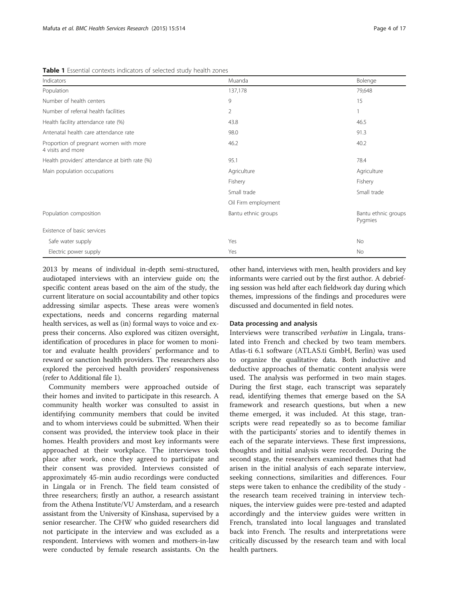| Indicators                                                  | Muanda              | Bolenge                        |
|-------------------------------------------------------------|---------------------|--------------------------------|
| Population                                                  | 137,178             | 79,648                         |
| Number of health centers                                    | 9                   | 15                             |
| Number of referral health facilities                        | $\overline{2}$      | $\overline{1}$                 |
| Health facility attendance rate (%)                         | 43.8                | 46.5                           |
| Antenatal health care attendance rate                       | 98.0                | 91.3                           |
| Proportion of pregnant women with more<br>4 visits and more | 46.2                | 40.2                           |
| Health providers' attendance at birth rate (%)              | 95.1                | 78.4                           |
| Main population occupations                                 | Agriculture         | Agriculture                    |
|                                                             | Fishery             | Fishery                        |
|                                                             | Small trade         | Small trade                    |
|                                                             | Oil Firm employment |                                |
| Population composition                                      | Bantu ethnic groups | Bantu ethnic groups<br>Pygmies |
| Existence of basic services                                 |                     |                                |
| Safe water supply                                           | Yes                 | No                             |
| Electric power supply                                       | Yes                 | No                             |

<span id="page-3-0"></span>Table 1 Essential contexts indicators of selected study health zones

2013 by means of individual in-depth semi-structured, audiotaped interviews with an interview guide on; the specific content areas based on the aim of the study, the current literature on social accountability and other topics addressing similar aspects. These areas were women's expectations, needs and concerns regarding maternal health services, as well as (in) formal ways to voice and express their concerns. Also explored was citizen oversight, identification of procedures in place for women to monitor and evaluate health providers' performance and to reward or sanction health providers. The researchers also explored the perceived health providers' responsiveness (refer to Additional file [1](#page-14-0)).

Community members were approached outside of their homes and invited to participate in this research. A community health worker was consulted to assist in identifying community members that could be invited and to whom interviews could be submitted. When their consent was provided, the interview took place in their homes. Health providers and most key informants were approached at their workplace. The interviews took place after work, once they agreed to participate and their consent was provided. Interviews consisted of approximately 45-min audio recordings were conducted in Lingala or in French. The field team consisted of three researchers; firstly an author, a research assistant from the Athena Institute/VU Amsterdam, and a research assistant from the University of Kinshasa, supervised by a senior researcher. The CHW who guided researchers did not participate in the interview and was excluded as a respondent. Interviews with women and mothers-in-law were conducted by female research assistants. On the

other hand, interviews with men, health providers and key informants were carried out by the first author. A debriefing session was held after each fieldwork day during which themes, impressions of the findings and procedures were discussed and documented in field notes.

#### Data processing and analysis

Interviews were transcribed verbatim in Lingala, translated into French and checked by two team members. Atlas-ti 6.1 software (ATLAS.ti GmbH, Berlin) was used to organize the qualitative data. Both inductive and deductive approaches of thematic content analysis were used. The analysis was performed in two main stages. During the first stage, each transcript was separately read, identifying themes that emerge based on the SA framework and research questions, but when a new theme emerged, it was included. At this stage, transcripts were read repeatedly so as to become familiar with the participants' stories and to identify themes in each of the separate interviews. These first impressions, thoughts and initial analysis were recorded. During the second stage, the researchers examined themes that had arisen in the initial analysis of each separate interview, seeking connections, similarities and differences. Four steps were taken to enhance the credibility of the study the research team received training in interview techniques, the interview guides were pre-tested and adapted accordingly and the interview guides were written in French, translated into local languages and translated back into French. The results and interpretations were critically discussed by the research team and with local health partners.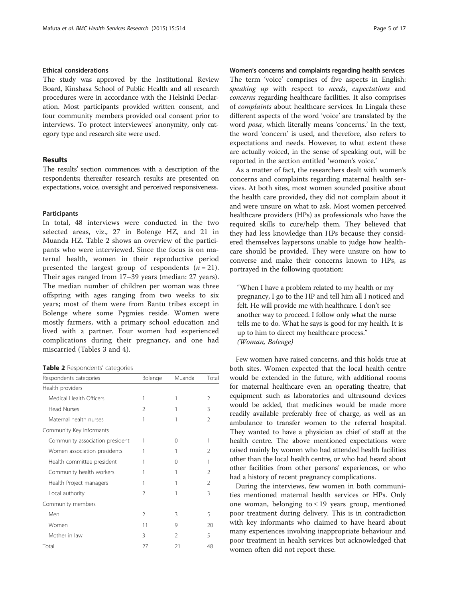#### Ethical considerations

The study was approved by the Institutional Review Board, Kinshasa School of Public Health and all research procedures were in accordance with the Helsinki Declaration. Most participants provided written consent, and four community members provided oral consent prior to interviews. To protect interviewees' anonymity, only category type and research site were used.

#### Results

The results' section commences with a description of the respondents; thereafter research results are presented on expectations, voice, oversight and perceived responsiveness.

#### Participants

In total, 48 interviews were conducted in the two selected areas, viz., 27 in Bolenge HZ, and 21 in Muanda HZ. Table 2 shows an overview of the participants who were interviewed. Since the focus is on maternal health, women in their reproductive period presented the largest group of respondents  $(n = 21)$ . Their ages ranged from 17–39 years (median: 27 years). The median number of children per woman was three offspring with ages ranging from two weeks to six years; most of them were from Bantu tribes except in Bolenge where some Pygmies reside. Women were mostly farmers, with a primary school education and lived with a partner. Four women had experienced complications during their pregnancy, and one had miscarried (Tables [3](#page-5-0) and [4](#page-5-0)).

Table 2 Respondents' categories

| Respondents categories          | Bolenge        | Muanda         | Total          |  |
|---------------------------------|----------------|----------------|----------------|--|
| Health providers                |                |                |                |  |
| Medical Health Officers         | 1              | 1              | $\mathfrak{D}$ |  |
| Head Nurses                     | 2              | 1              | 3              |  |
| Maternal health nurses          | 1              | 1              | $\mathfrak{D}$ |  |
| Community Key Informants        |                |                |                |  |
| Community association president | 1              | 0              | 1              |  |
| Women association presidents    | 1              | 1              | $\mathcal{P}$  |  |
| Health committee president      |                | 0              | 1              |  |
| Community health workers        |                | 1              | $\mathfrak{D}$ |  |
| Health Project managers         | 1              | 1              | $\mathfrak{D}$ |  |
| Local authority                 | $\mathfrak{D}$ | 1              | 3              |  |
| Community members               |                |                |                |  |
| Men                             | $\mathfrak{D}$ | 3              | 5              |  |
| Women                           | 11             | 9              | 20             |  |
| Mother in law                   | 3              | $\mathfrak{D}$ | 5              |  |
| Total                           | 27             | 21             | 48             |  |

Women's concerns and complaints regarding health services The term 'voice' comprises of five aspects in English: speaking up with respect to needs, expectations and concerns regarding healthcare facilities. It also comprises of complaints about healthcare services. In Lingala these different aspects of the word 'voice' are translated by the word *posa*, which literally means 'concerns.' In the text, the word 'concern' is used, and therefore, also refers to expectations and needs. However, to what extent these are actually voiced, in the sense of speaking out, will be reported in the section entitled 'women's voice.'

As a matter of fact, the researchers dealt with women's concerns and complaints regarding maternal health services. At both sites, most women sounded positive about the health care provided, they did not complain about it and were unsure on what to ask. Most women perceived healthcare providers (HPs) as professionals who have the required skills to cure/help them. They believed that they had less knowledge than HPs because they considered themselves laypersons unable to judge how healthcare should be provided. They were unsure on how to converse and make their concerns known to HPs, as portrayed in the following quotation:

"When I have a problem related to my health or my pregnancy, I go to the HP and tell him all I noticed and felt. He will provide me with healthcare. I don't see another way to proceed. I follow only what the nurse tells me to do. What he says is good for my health. It is up to him to direct my healthcare process." (Woman, Bolenge)

Few women have raised concerns, and this holds true at both sites. Women expected that the local health centre would be extended in the future, with additional rooms for maternal healthcare even an operating theatre, that equipment such as laboratories and ultrasound devices would be added, that medicines would be made more readily available preferably free of charge, as well as an ambulance to transfer women to the referral hospital. They wanted to have a physician as chief of staff at the health centre. The above mentioned expectations were raised mainly by women who had attended health facilities other than the local health centre, or who had heard about other facilities from other persons' experiences, or who had a history of recent pregnancy complications.

During the interviews, few women in both communities mentioned maternal health services or HPs. Only one woman, belonging to  $\leq 19$  years group, mentioned poor treatment during delivery. This is in contradiction with key informants who claimed to have heard about many experiences involving inappropriate behaviour and poor treatment in health services but acknowledged that women often did not report these.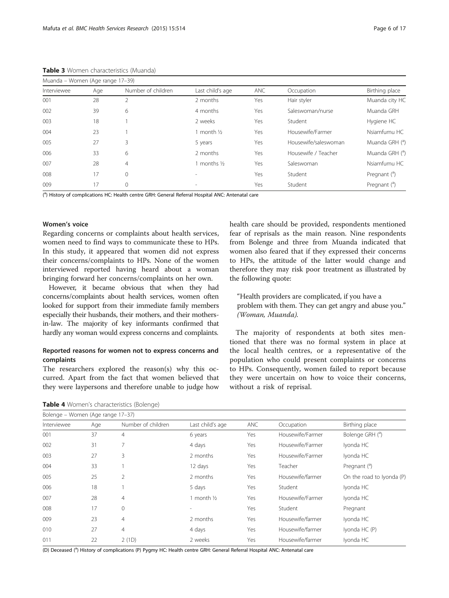| Muanda – Women (Age range 17–39) |     |                    |                  |            |                      |                               |
|----------------------------------|-----|--------------------|------------------|------------|----------------------|-------------------------------|
| Interviewee                      | Age | Number of children | Last child's age | <b>ANC</b> | Occupation           | Birthing place                |
| 001                              | 28  |                    | 2 months         | Yes        | Hair styler          | Muanda city HC                |
| 002                              | 39  | 6                  | 4 months         | Yes        | Saleswoman/nurse     | Muanda GRH                    |
| 003                              | 18  |                    | 2 weeks          | Yes        | Student              | Hygiene HC                    |
| 004                              | 23  |                    | 1 month ½        | Yes        | Housewife/Farmer     | Nsiamfumu HC                  |
| 005                              | 27  | 3                  | 5 years          | Yes        | Housewife/saleswoman | Muanda GRH (a)                |
| 006                              | 33  | 6                  | 2 months         | Yes        | Housewife / Teacher  | Muanda GRH (a)                |
| 007                              | 28  | 4                  | 1 months 1/2     | Yes        | Saleswoman           | Nsiamfumu HC                  |
| 008                              | 17  | 0                  |                  | Yes        | Student              | Pregnant $($ <sup>a</sup> $)$ |
| 009                              | 17  | 0                  |                  | Yes        | Student              | Pregnant $($ <sup>a</sup> $)$ |

<span id="page-5-0"></span>Table 3 Women characteristics (Muanda)

(<sup>a</sup>) History of complications HC: Health centre GRH: General Referral Hospital ANC: Antenatal care

#### Women's voice

Regarding concerns or complaints about health services, women need to find ways to communicate these to HPs. In this study, it appeared that women did not express their concerns/complaints to HPs. None of the women interviewed reported having heard about a woman bringing forward her concerns/complaints on her own.

However, it became obvious that when they had concerns/complaints about health services, women often looked for support from their immediate family members especially their husbands, their mothers, and their mothersin-law. The majority of key informants confirmed that hardly any woman would express concerns and complaints.

#### Reported reasons for women not to express concerns and complaints

The researchers explored the reason(s) why this occurred. Apart from the fact that women believed that they were laypersons and therefore unable to judge how

|  |  | Table 4 Women's characteristics (Bolenge) |  |
|--|--|-------------------------------------------|--|
|--|--|-------------------------------------------|--|

health care should be provided, respondents mentioned fear of reprisals as the main reason. Nine respondents from Bolenge and three from Muanda indicated that women also feared that if they expressed their concerns to HPs, the attitude of the latter would change and therefore they may risk poor treatment as illustrated by the following quote:

"Health providers are complicated, if you have a problem with them. They can get angry and abuse you." (Woman, Muanda).

The majority of respondents at both sites mentioned that there was no formal system in place at the local health centres, or a representative of the population who could present complaints or concerns to HPs. Consequently, women failed to report because they were uncertain on how to voice their concerns, without a risk of reprisal.

| Bolenge – Women (Age range 17–37) |     |                    |                          |            |                  |                              |
|-----------------------------------|-----|--------------------|--------------------------|------------|------------------|------------------------------|
| Interviewee                       | Age | Number of children | Last child's age         | <b>ANC</b> | Occupation       | Birthing place               |
| 001                               | 37  | $\overline{4}$     | 6 years                  | Yes        | Housewife/Farmer | Bolenge GRH ( <sup>a</sup> ) |
| 002                               | 31  | 7                  | 4 days                   | Yes        | Housewife/Farmer | Iyonda HC                    |
| 003                               | 27  | 3                  | 2 months                 | Yes        | Housewife/Farmer | Iyonda HC                    |
| 004                               | 33  |                    | 12 days                  | Yes        | Teacher          | Pregnant $(^a)$              |
| 005                               | 25  | 2                  | 2 months                 | Yes        | Housewife/farmer | On the road to Iyonda (P)    |
| 006                               | 18  |                    | 5 days                   | Yes        | Student          | Iyonda HC                    |
| 007                               | 28  | $\overline{4}$     | 1 month $\frac{1}{2}$    | Yes        | Housewife/Farmer | Iyonda HC                    |
| 008                               | 17  | $\mathbf{0}$       | $\overline{\phantom{a}}$ | Yes        | Student          | Pregnant                     |
| 009                               | 23  | $\overline{4}$     | 2 months                 | Yes        | Housewife/farmer | Iyonda HC                    |
| 010                               | 27  | 4                  | 4 days                   | Yes        | Housewife/farmer | Iyonda HC (P)                |
| 011                               | 22  | 2(1D)              | 2 weeks                  | Yes        | Housewife/farmer | Iyonda HC                    |
|                                   |     |                    |                          |            |                  |                              |

(D) Deceased (<sup>a</sup>) History of complications (P) Pygmy HC: Health centre GRH: General Referral Hospital ANC: Antenatal care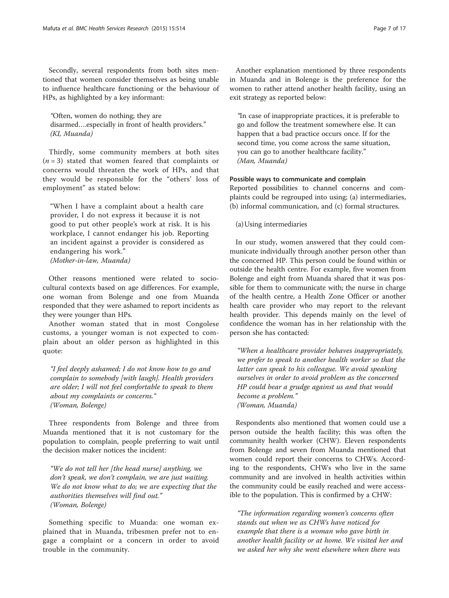Secondly, several respondents from both sites mentioned that women consider themselves as being unable to influence healthcare functioning or the behaviour of HPs, as highlighted by a key informant:

"Often, women do nothing; they are disarmed….especially in front of health providers." (KI, Muanda)

Thirdly, some community members at both sites  $(n = 3)$  stated that women feared that complaints or concerns would threaten the work of HPs, and that they would be responsible for the "others' loss of employment" as stated below:

"When I have a complaint about a health care provider, I do not express it because it is not good to put other people's work at risk. It is his workplace, I cannot endanger his job. Reporting an incident against a provider is considered as endangering his work." (Mother-in-law, Muanda)

Other reasons mentioned were related to sociocultural contexts based on age differences. For example, one woman from Bolenge and one from Muanda responded that they were ashamed to report incidents as they were younger than HPs.

Another woman stated that in most Congolese customs, a younger woman is not expected to complain about an older person as highlighted in this quote:

"I feel deeply ashamed; I do not know how to go and complain to somebody [with laugh]. Health providers are older; I will not feel comfortable to speak to them about my complaints or concerns." (Woman, Bolenge)

Three respondents from Bolenge and three from Muanda mentioned that it is not customary for the population to complain, people preferring to wait until the decision maker notices the incident:

"We do not tell her [the head nurse] anything, we don't speak, we don't complain, we are just waiting. We do not know what to do; we are expecting that the authorities themselves will find out." (Woman, Bolenge)

Something specific to Muanda: one woman explained that in Muanda, tribesmen prefer not to engage a complaint or a concern in order to avoid trouble in the community.

"In case of inappropriate practices, it is preferable to go and follow the treatment somewhere else. It can happen that a bad practice occurs once. If for the second time, you come across the same situation, you can go to another healthcare facility." (Man, Muanda)

#### Possible ways to communicate and complain

Reported possibilities to channel concerns and complaints could be regrouped into using; (a) intermediaries, (b) informal communication, and (c) formal structures.

(a)Using intermediaries

In our study, women answered that they could communicate individually through another person other than the concerned HP. This person could be found within or outside the health centre. For example, five women from Bolenge and eight from Muanda shared that it was possible for them to communicate with; the nurse in charge of the health centre, a Health Zone Officer or another health care provider who may report to the relevant health provider. This depends mainly on the level of confidence the woman has in her relationship with the person she has contacted:

"When a healthcare provider behaves inappropriately, we prefer to speak to another health worker so that the latter can speak to his colleague. We avoid speaking ourselves in order to avoid problem as the concerned HP could bear a grudge against us and that would become a problem." (Woman, Muanda)

Respondents also mentioned that women could use a person outside the health facility; this was often the community health worker (CHW). Eleven respondents from Bolenge and seven from Muanda mentioned that women could report their concerns to CHWs. According to the respondents, CHWs who live in the same community and are involved in health activities within the community could be easily reached and were accessible to the population. This is confirmed by a CHW:

"The information regarding women's concerns often stands out when we as CHWs have noticed for example that there is a woman who gave birth in another health facility or at home. We visited her and we asked her why she went elsewhere when there was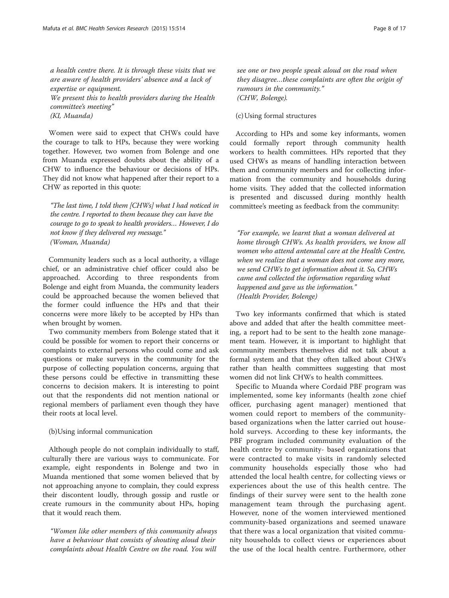a health centre there. It is through these visits that we are aware of health providers' absence and a lack of expertise or equipment. We present this to health providers during the Health committee's meeting" (KI, Muanda)

Women were said to expect that CHWs could have the courage to talk to HPs, because they were working together. However, two women from Bolenge and one from Muanda expressed doubts about the ability of a CHW to influence the behaviour or decisions of HPs. They did not know what happened after their report to a CHW as reported in this quote:

"The last time, I told them [CHWs] what I had noticed in the centre. I reported to them because they can have the courage to go to speak to health providers… However, I do not know if they delivered my message." (Woman, Muanda)

Community leaders such as a local authority, a village chief, or an administrative chief officer could also be approached. According to three respondents from Bolenge and eight from Muanda, the community leaders could be approached because the women believed that the former could influence the HPs and that their concerns were more likely to be accepted by HPs than when brought by women.

Two community members from Bolenge stated that it could be possible for women to report their concerns or complaints to external persons who could come and ask questions or make surveys in the community for the purpose of collecting population concerns, arguing that these persons could be effective in transmitting these concerns to decision makers. It is interesting to point out that the respondents did not mention national or regional members of parliament even though they have their roots at local level.

#### (b)Using informal communication

Although people do not complain individually to staff, culturally there are various ways to communicate. For example, eight respondents in Bolenge and two in Muanda mentioned that some women believed that by not approaching anyone to complain, they could express their discontent loudly, through gossip and rustle or create rumours in the community about HPs, hoping that it would reach them.

"Women like other members of this community always have a behaviour that consists of shouting aloud their complaints about Health Centre on the road. You will

see one or two people speak aloud on the road when they disagree…these complaints are often the origin of rumours in the community." (CHW, Bolenge).

#### (c)Using formal structures

According to HPs and some key informants, women could formally report through community health workers to health committees. HPs reported that they used CHWs as means of handling interaction between them and community members and for collecting information from the community and households during home visits. They added that the collected information is presented and discussed during monthly health committee's meeting as feedback from the community:

"For example, we learnt that a woman delivered at home through CHWs. As health providers, we know all women who attend antenatal care at the Health Centre, when we realize that a woman does not come any more, we send CHWs to get information about it. So, CHWs came and collected the information regarding what happened and gave us the information." (Health Provider, Bolenge)

Two key informants confirmed that which is stated above and added that after the health committee meeting, a report had to be sent to the health zone management team. However, it is important to highlight that community members themselves did not talk about a formal system and that they often talked about CHWs rather than health committees suggesting that most women did not link CHWs to health committees.

Specific to Muanda where Cordaid PBF program was implemented, some key informants (health zone chief officer, purchasing agent manager) mentioned that women could report to members of the communitybased organizations when the latter carried out household surveys. According to these key informants, the PBF program included community evaluation of the health centre by community- based organizations that were contracted to make visits in randomly selected community households especially those who had attended the local health centre, for collecting views or experiences about the use of this health centre. The findings of their survey were sent to the health zone management team through the purchasing agent. However, none of the women interviewed mentioned community-based organizations and seemed unaware that there was a local organization that visited community households to collect views or experiences about the use of the local health centre. Furthermore, other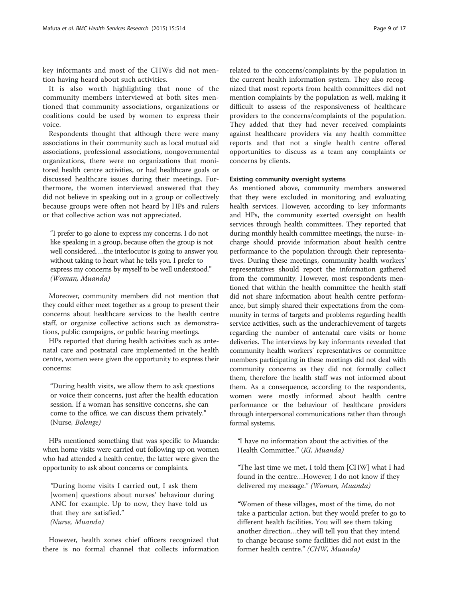key informants and most of the CHWs did not mention having heard about such activities.

It is also worth highlighting that none of the community members interviewed at both sites mentioned that community associations, organizations or coalitions could be used by women to express their voice.

Respondents thought that although there were many associations in their community such as local mutual aid associations, professional associations, nongovernmental organizations, there were no organizations that monitored health centre activities, or had healthcare goals or discussed healthcare issues during their meetings. Furthermore, the women interviewed answered that they did not believe in speaking out in a group or collectively because groups were often not heard by HPs and rulers or that collective action was not appreciated.

"I prefer to go alone to express my concerns. I do not like speaking in a group, because often the group is not well considered….the interlocutor is going to answer you without taking to heart what he tells you. I prefer to express my concerns by myself to be well understood." (Woman, Muanda)

Moreover, community members did not mention that they could either meet together as a group to present their concerns about healthcare services to the health centre staff, or organize collective actions such as demonstrations, public campaigns, or public hearing meetings.

HPs reported that during health activities such as antenatal care and postnatal care implemented in the health centre, women were given the opportunity to express their concerns:

"During health visits, we allow them to ask questions or voice their concerns, just after the health education session. If a woman has sensitive concerns, she can come to the office, we can discuss them privately." (Nurse, Bolenge)

HPs mentioned something that was specific to Muanda: when home visits were carried out following up on women who had attended a health centre, the latter were given the opportunity to ask about concerns or complaints.

"During home visits I carried out, I ask them [women] questions about nurses' behaviour during ANC for example. Up to now, they have told us that they are satisfied." (Nurse, Muanda)

However, health zones chief officers recognized that there is no formal channel that collects information

related to the concerns/complaints by the population in the current health information system. They also recognized that most reports from health committees did not mention complaints by the population as well, making it difficult to assess of the responsiveness of healthcare providers to the concerns/complaints of the population. They added that they had never received complaints against healthcare providers via any health committee reports and that not a single health centre offered opportunities to discuss as a team any complaints or concerns by clients.

#### Existing community oversight systems

As mentioned above, community members answered that they were excluded in monitoring and evaluating health services. However, according to key informants and HPs, the community exerted oversight on health services through health committees. They reported that during monthly health committee meetings, the nurse- incharge should provide information about health centre performance to the population through their representatives. During these meetings, community health workers' representatives should report the information gathered from the community. However, most respondents mentioned that within the health committee the health staff did not share information about health centre performance, but simply shared their expectations from the community in terms of targets and problems regarding health service activities, such as the underachievement of targets regarding the number of antenatal care visits or home deliveries. The interviews by key informants revealed that community health workers' representatives or committee members participating in these meetings did not deal with community concerns as they did not formally collect them, therefore the health staff was not informed about them. As a consequence, according to the respondents, women were mostly informed about health centre performance or the behaviour of healthcare providers through interpersonal communications rather than through formal systems.

"I have no information about the activities of the Health Committee." (KI, Muanda)

"The last time we met, I told them [CHW] what I had found in the centre…However, I do not know if they delivered my message." (Woman, Muanda)

"Women of these villages, most of the time, do not take a particular action, but they would prefer to go to different health facilities. You will see them taking another direction…they will tell you that they intend to change because some facilities did not exist in the former health centre." (CHW, Muanda)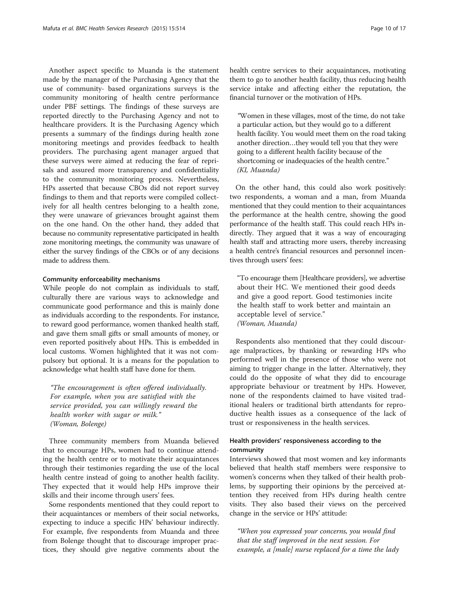Another aspect specific to Muanda is the statement made by the manager of the Purchasing Agency that the use of community- based organizations surveys is the community monitoring of health centre performance under PBF settings. The findings of these surveys are reported directly to the Purchasing Agency and not to healthcare providers. It is the Purchasing Agency which presents a summary of the findings during health zone monitoring meetings and provides feedback to health providers. The purchasing agent manager argued that these surveys were aimed at reducing the fear of reprisals and assured more transparency and confidentiality to the community monitoring process. Nevertheless, HPs asserted that because CBOs did not report survey findings to them and that reports were compiled collectively for all health centres belonging to a health zone, they were unaware of grievances brought against them on the one hand. On the other hand, they added that because no community representative participated in health zone monitoring meetings, the community was unaware of either the survey findings of the CBOs or of any decisions made to address them.

#### Community enforceability mechanisms

While people do not complain as individuals to staff, culturally there are various ways to acknowledge and communicate good performance and this is mainly done as individuals according to the respondents. For instance, to reward good performance, women thanked health staff, and gave them small gifts or small amounts of money, or even reported positively about HPs. This is embedded in local customs. Women highlighted that it was not compulsory but optional. It is a means for the population to acknowledge what health staff have done for them.

"The encouragement is often offered individually. For example, when you are satisfied with the service provided, you can willingly reward the health worker with sugar or milk." (Woman, Bolenge)

Three community members from Muanda believed that to encourage HPs, women had to continue attending the health centre or to motivate their acquaintances through their testimonies regarding the use of the local health centre instead of going to another health facility. They expected that it would help HPs improve their skills and their income through users' fees.

Some respondents mentioned that they could report to their acquaintances or members of their social networks, expecting to induce a specific HPs' behaviour indirectly. For example, five respondents from Muanda and three from Bolenge thought that to discourage improper practices, they should give negative comments about the health centre services to their acquaintances, motivating them to go to another health facility, thus reducing health service intake and affecting either the reputation, the financial turnover or the motivation of HPs.

"Women in these villages, most of the time, do not take a particular action, but they would go to a different health facility. You would meet them on the road taking another direction…they would tell you that they were going to a different health facility because of the shortcoming or inadequacies of the health centre." (KI, Muanda)

On the other hand, this could also work positively: two respondents, a woman and a man, from Muanda mentioned that they could mention to their acquaintances the performance at the health centre, showing the good performance of the health staff. This could reach HPs indirectly. They argued that it was a way of encouraging health staff and attracting more users, thereby increasing a health centre's financial resources and personnel incentives through users' fees:

"To encourage them [Healthcare providers], we advertise about their HC. We mentioned their good deeds and give a good report. Good testimonies incite the health staff to work better and maintain an acceptable level of service." (Woman, Muanda)

Respondents also mentioned that they could discourage malpractices, by thanking or rewarding HPs who performed well in the presence of those who were not aiming to trigger change in the latter. Alternatively, they could do the opposite of what they did to encourage appropriate behaviour or treatment by HPs. However, none of the respondents claimed to have visited traditional healers or traditional birth attendants for reproductive health issues as a consequence of the lack of trust or responsiveness in the health services.

#### Health providers' responsiveness according to the community

Interviews showed that most women and key informants believed that health staff members were responsive to women's concerns when they talked of their health problems, by supporting their opinions by the perceived attention they received from HPs during health centre visits. They also based their views on the perceived change in the service or HPs' attitude:

"When you expressed your concerns, you would find that the staff improved in the next session. For example, a [male] nurse replaced for a time the lady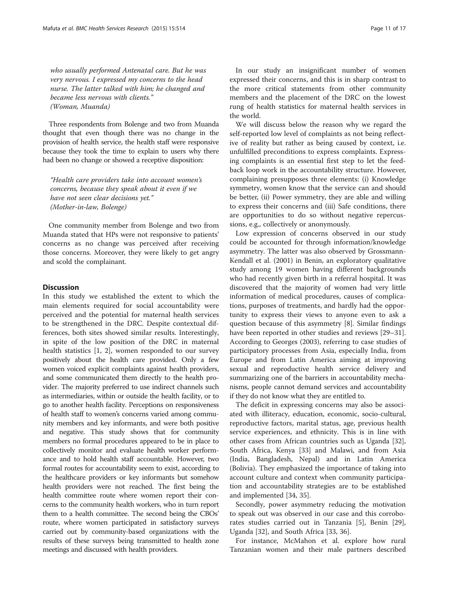who usually performed Antenatal care. But he was very nervous. I expressed my concerns to the head nurse. The latter talked with him; he changed and became less nervous with clients." (Woman, Muanda)

Three respondents from Bolenge and two from Muanda thought that even though there was no change in the provision of health service, the health staff were responsive because they took the time to explain to users why there had been no change or showed a receptive disposition:

"Health care providers take into account women's concerns, because they speak about it even if we have not seen clear decisions yet." (Mother-in-law, Bolenge)

One community member from Bolenge and two from Muanda stated that HPs were not responsive to patients' concerns as no change was perceived after receiving those concerns. Moreover, they were likely to get angry and scold the complainant.

#### **Discussion**

In this study we established the extent to which the main elements required for social accountability were perceived and the potential for maternal health services to be strengthened in the DRC. Despite contextual differences, both sites showed similar results. Interestingly, in spite of the low position of the DRC in maternal health statistics [[1, 2\]](#page-14-0), women responded to our survey positively about the health care provided. Only a few women voiced explicit complaints against health providers, and some communicated them directly to the health provider. The majority preferred to use indirect channels such as intermediaries, within or outside the health facility, or to go to another health facility. Perceptions on responsiveness of health staff to women's concerns varied among community members and key informants, and were both positive and negative. This study shows that for community members no formal procedures appeared to be in place to collectively monitor and evaluate health worker performance and to hold health staff accountable. However, two formal routes for accountability seem to exist, according to the healthcare providers or key informants but somehow health providers were not reached. The first being the health committee route where women report their concerns to the community health workers, who in turn report them to a health committee. The second being the CBOs' route, where women participated in satisfactory surveys carried out by community-based organizations with the results of these surveys being transmitted to health zone meetings and discussed with health providers.

In our study an insignificant number of women expressed their concerns, and this is in sharp contrast to the more critical statements from other community members and the placement of the DRC on the lowest rung of health statistics for maternal health services in the world.

We will discuss below the reason why we regard the self-reported low level of complaints as not being reflective of reality but rather as being caused by context, i.e. unfulfilled preconditions to express complaints. Expressing complaints is an essential first step to let the feedback loop work in the accountability structure. However, complaining presupposes three elements: (i) Knowledge symmetry, women know that the service can and should be better, (ii) Power symmetry, they are able and willing to express their concerns and (iii) Safe conditions, there are opportunities to do so without negative repercussions, e.g., collectively or anonymously.

Low expression of concerns observed in our study could be accounted for through information/knowledge asymmetry. The latter was also observed by Grossmann-Kendall et al. (2001) in Benin, an exploratory qualitative study among 19 women having different backgrounds who had recently given birth in a referral hospital. It was discovered that the majority of women had very little information of medical procedures, causes of complications, purposes of treatments, and hardly had the opportunity to express their views to anyone even to ask a question because of this asymmetry [[8\]](#page-15-0). Similar findings have been reported in other studies and reviews [[29](#page-15-0)–[31](#page-15-0)]. According to Georges (2003), referring to case studies of participatory processes from Asia, especially India, from Europe and from Latin America aiming at improving sexual and reproductive health service delivery and summarizing one of the barriers in accountability mechanisms, people cannot demand services and accountability if they do not know what they are entitled to.

The deficit in expressing concerns may also be associated with illiteracy, education, economic, socio-cultural, reproductive factors, marital status, age, previous health service experiences, and ethnicity. This is in line with other cases from African countries such as Uganda [\[32](#page-15-0)], South Africa, Kenya [[33\]](#page-15-0) and Malawi, and from Asia (India, Bangladesh, Nepal) and in Latin America (Bolivia). They emphasized the importance of taking into account culture and context when community participation and accountability strategies are to be established and implemented [[34](#page-15-0), [35](#page-15-0)].

Secondly, power asymmetry reducing the motivation to speak out was observed in our case and this corroborates studies carried out in Tanzania [\[5](#page-14-0)], Benin [\[29](#page-15-0)], Uganda [\[32\]](#page-15-0), and South Africa [[33, 36\]](#page-15-0).

For instance, McMahon et al. explore how rural Tanzanian women and their male partners described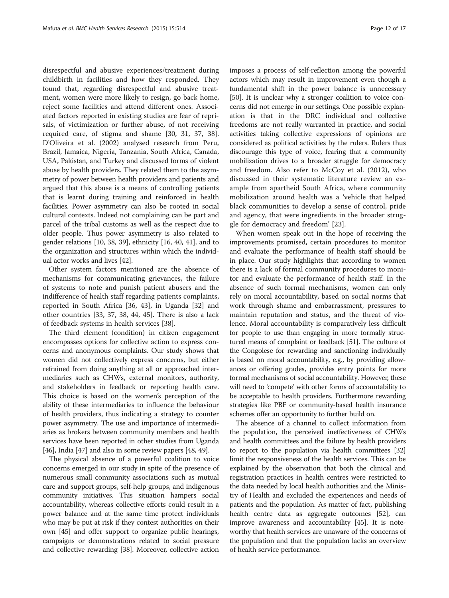disrespectful and abusive experiences/treatment during childbirth in facilities and how they responded. They found that, regarding disrespectful and abusive treatment, women were more likely to resign, go back home, reject some facilities and attend different ones. Associated factors reported in existing studies are fear of reprisals, of victimization or further abuse, of not receiving required care, of stigma and shame [[30, 31](#page-15-0), [37, 38](#page-15-0)]. D'Oliveira et al. (2002) analysed research from Peru, Brazil, Jamaica, Nigeria, Tanzania, South Africa, Canada, USA, Pakistan, and Turkey and discussed forms of violent abuse by health providers. They related them to the asymmetry of power between health providers and patients and argued that this abuse is a means of controlling patients that is learnt during training and reinforced in health facilities. Power asymmetry can also be rooted in social cultural contexts. Indeed not complaining can be part and parcel of the tribal customs as well as the respect due to older people. Thus power asymmetry is also related to gender relations [[10](#page-15-0), [38](#page-15-0), [39](#page-15-0)], ethnicity [[16](#page-15-0), [40](#page-15-0), [41\]](#page-15-0), and to the organization and structures within which the individual actor works and lives [\[42](#page-15-0)].

Other system factors mentioned are the absence of mechanisms for communicating grievances, the failure of systems to note and punish patient abusers and the indifference of health staff regarding patients complaints, reported in South Africa [[36, 43](#page-15-0)], in Uganda [[32\]](#page-15-0) and other countries [[33, 37](#page-15-0), [38](#page-15-0), [44, 45](#page-15-0)]. There is also a lack of feedback systems in health services [[38\]](#page-15-0).

The third element (condition) in citizen engagement encompasses options for collective action to express concerns and anonymous complaints. Our study shows that women did not collectively express concerns, but either refrained from doing anything at all or approached intermediaries such as CHWs, external monitors, authority, and stakeholders in feedback or reporting health care. This choice is based on the women's perception of the ability of these intermediaries to influence the behaviour of health providers, thus indicating a strategy to counter power asymmetry. The use and importance of intermediaries as brokers between community members and health services have been reported in other studies from Uganda [[46](#page-16-0)], India [\[47](#page-16-0)] and also in some review papers [[48, 49\]](#page-16-0).

The physical absence of a powerful coalition to voice concerns emerged in our study in spite of the presence of numerous small community associations such as mutual care and support groups, self-help groups, and indigenous community initiatives. This situation hampers social accountability, whereas collective efforts could result in a power balance and at the same time protect individuals who may be put at risk if they contest authorities on their own [\[45\]](#page-15-0) and offer support to organize public hearings, campaigns or demonstrations related to social pressure and collective rewarding [[38](#page-15-0)]. Moreover, collective action

actors which may result in improvement even though a fundamental shift in the power balance is unnecessary [[50](#page-16-0)]. It is unclear why a stronger coalition to voice concerns did not emerge in our settings. One possible explanation is that in the DRC individual and collective freedoms are not really warranted in practice, and social activities taking collective expressions of opinions are considered as political activities by the rulers. Rulers thus discourage this type of voice, fearing that a community mobilization drives to a broader struggle for democracy and freedom. Also refer to McCoy et al. (2012), who discussed in their systematic literature review an example from apartheid South Africa, where community mobilization around health was a 'vehicle that helped black communities to develop a sense of control, pride and agency, that were ingredients in the broader struggle for democracy and freedom' [[23\]](#page-15-0).

When women speak out in the hope of receiving the improvements promised, certain procedures to monitor and evaluate the performance of health staff should be in place. Our study highlights that according to women there is a lack of formal community procedures to monitor and evaluate the performance of health staff. In the absence of such formal mechanisms, women can only rely on moral accountability, based on social norms that work through shame and embarrassment, pressures to maintain reputation and status, and the threat of violence. Moral accountability is comparatively less difficult for people to use than engaging in more formally structured means of complaint or feedback [\[51\]](#page-16-0). The culture of the Congolese for rewarding and sanctioning individually is based on moral accountability, e.g., by providing allowances or offering grades, provides entry points for more formal mechanisms of social accountability. However, these will need to 'compete' with other forms of accountability to be acceptable to health providers. Furthermore rewarding strategies like PBF or community-based health insurance schemes offer an opportunity to further build on.

The absence of a channel to collect information from the population, the perceived ineffectiveness of CHWs and health committees and the failure by health providers to report to the population via health committees [[32](#page-15-0)] limit the responsiveness of the health services. This can be explained by the observation that both the clinical and registration practices in health centres were restricted to the data needed by local health authorities and the Ministry of Health and excluded the experiences and needs of patients and the population. As matter of fact, publishing health centre data as aggregate outcomes [\[52](#page-16-0)], can improve awareness and accountability [[45](#page-15-0)]. It is noteworthy that health services are unaware of the concerns of the population and that the population lacks an overview of health service performance.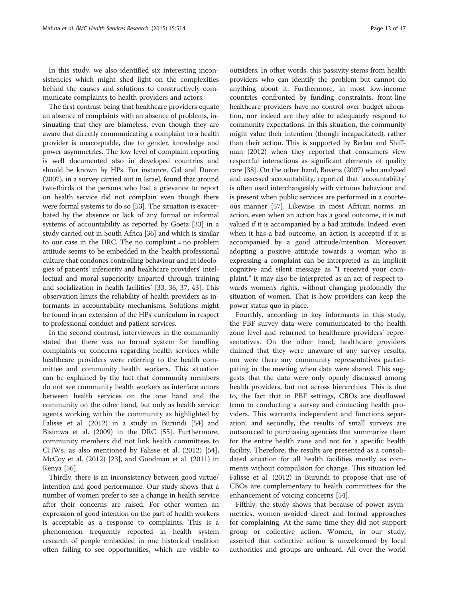In this study, we also identified six interesting inconsistencies which might shed light on the complexities behind the causes and solutions to constructively communicate complaints to health providers and actors.

The first contrast being that healthcare providers equate an absence of complaints with an absence of problems, insinuating that they are blameless, even though they are aware that directly communicating a complaint to a health provider is unacceptable, due to gender, knowledge and power asymmetries. The low level of complaint reporting is well documented also in developed countries and should be known by HPs. For instance, Gal and Doron (2007), in a survey carried out in Israel, found that around two-thirds of the persons who had a grievance to report on health service did not complain even though there were formal systems to do so [\[53\]](#page-16-0). The situation is exacerbated by the absence or lack of any formal or informal systems of accountability as reported by Goetz [[33](#page-15-0)] in a study carried out in South Africa [[36](#page-15-0)] and which is similar to our case in the DRC. The no complaint = no problem attitude seems to be embedded in the 'health professional culture that condones controlling behaviour and in ideologies of patients' inferiority and healthcare providers' intellectual and moral superiority imparted through training and socialization in health facilities' [\[33](#page-15-0), [36](#page-15-0), [37, 43\]](#page-15-0). This observation limits the reliability of health providers as informants in accountability mechanisms. Solutions might be found in an extension of the HPs' curriculum in respect to professional conduct and patient services.

In the second contrast, interviewees in the community stated that there was no formal system for handling complaints or concerns regarding health services while healthcare providers were referring to the health committee and community health workers. This situation can be explained by the fact that community members do not see community health workers as interface actors between health services on the one hand and the community on the other hand, but only as health service agents working within the community as highlighted by Falisse et al. (2012) in a study in Burundi [[54\]](#page-16-0) and Bisimwa et al. (2009) in the DRC [[55\]](#page-16-0). Furthermore, community members did not link health committees to CHWs, as also mentioned by Falisse et al. (2012) [\[54](#page-16-0)], McCoy et al. (2012) [[23\]](#page-15-0), and Goodman et al. (2011) in Kenya [[56\]](#page-16-0).

Thirdly, there is an inconsistency between good virtue/ intention and good performance. Our study shows that a number of women prefer to see a change in health service after their concerns are raised. For other women an expression of good intention on the part of health workers is acceptable as a response to complaints. This is a phenomenon frequently reported in health system research of people embedded in one historical tradition often failing to see opportunities, which are visible to

outsiders. In other words, this passivity stems from health providers who can identify the problem but cannot do anything about it. Furthermore, in most low-income countries confronted by funding constraints, front-line healthcare providers have no control over budget allocation, nor indeed are they able to adequately respond to community expectations. In this situation, the community might value their intention (though incapacitated), rather than their action. This is supported by Berlan and Shiffman (2012) when they reported that consumers view respectful interactions as significant elements of quality care [\[38\]](#page-15-0). On the other hand, Bovens (2007) who analysed and assessed accountability, reported that 'accountability' is often used interchangeably with virtuous behaviour and is present when public services are performed in a courteous manner [[57](#page-16-0)]. Likewise, in most African norms, an action, even when an action has a good outcome, it is not valued if it is accompanied by a bad attitude. Indeed, even when it has a bad outcome, an action is accepted if it is accompanied by a good attitude/intention. Moreover, adopting a positive attitude towards a woman who is expressing a complaint can be interpreted as an implicit cognitive and silent message as "I received your complaint." It may also be interpreted as an act of respect towards women's rights, without changing profoundly the situation of women. That is how providers can keep the power status quo in place.

Fourthly, according to key informants in this study, the PBF survey data were communicated to the health zone level and returned to healthcare providers' representatives. On the other hand, healthcare providers claimed that they were unaware of any survey results, nor were there any community representatives participating in the meeting when data were shared. This suggests that the data were only openly discussed among health providers, but not across hierarchies. This is due to, the fact that in PBF settings, CBOs are disallowed from to conducting a survey and contacting health providers. This warrants independent and functions separation; and secondly, the results of small surveys are outsourced to purchasing agencies that summarize them for the entire health zone and not for a specific health facility. Therefore, the results are presented as a consolidated situation for all health facilities mostly as comments without compulsion for change. This situation led Falisse et al. (2012) in Burundi to propose that use of CBOs are complementary to health committees for the enhancement of voicing concerns [[54\]](#page-16-0).

Fifthly, the study shows that because of power asymmetries, women avoided direct and formal approaches for complaining. At the same time they did not support group or collective action. Women, in our study, asserted that collective action is unwelcomed by local authorities and groups are unheard. All over the world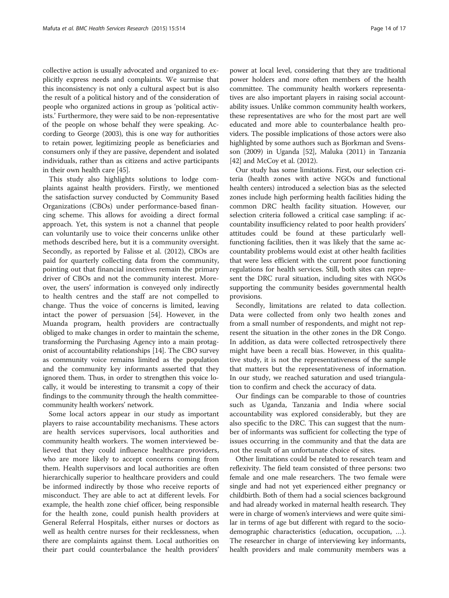collective action is usually advocated and organized to explicitly express needs and complaints. We surmise that this inconsistency is not only a cultural aspect but is also the result of a political history and of the consideration of people who organized actions in group as 'political activists.' Furthermore, they were said to be non-representative of the people on whose behalf they were speaking. According to George (2003), this is one way for authorities to retain power, legitimizing people as beneficiaries and consumers only if they are passive, dependent and isolated individuals, rather than as citizens and active participants in their own health care [[45](#page-15-0)].

This study also highlights solutions to lodge complaints against health providers. Firstly, we mentioned the satisfaction survey conducted by Community Based Organizations (CBOs) under performance-based financing scheme. This allows for avoiding a direct formal approach. Yet, this system is not a channel that people can voluntarily use to voice their concerns unlike other methods described here, but it is a community oversight. Secondly, as reported by Falisse et al. (2012), CBOs are paid for quarterly collecting data from the community, pointing out that financial incentives remain the primary driver of CBOs and not the community interest. Moreover, the users' information is conveyed only indirectly to health centres and the staff are not compelled to change. Thus the voice of concerns is limited, leaving intact the power of persuasion [\[54\]](#page-16-0). However, in the Muanda program, health providers are contractually obliged to make changes in order to maintain the scheme, transforming the Purchasing Agency into a main protagonist of accountability relationships [\[14\]](#page-15-0). The CBO survey as community voice remains limited as the population and the community key informants asserted that they ignored them. Thus, in order to strengthen this voice locally, it would be interesting to transmit a copy of their findings to the community through the health committeecommunity health workers' network.

Some local actors appear in our study as important players to raise accountability mechanisms. These actors are health services supervisors, local authorities and community health workers. The women interviewed believed that they could influence healthcare providers, who are more likely to accept concerns coming from them. Health supervisors and local authorities are often hierarchically superior to healthcare providers and could be informed indirectly by those who receive reports of misconduct. They are able to act at different levels. For example, the health zone chief officer, being responsible for the health zone, could punish health providers at General Referral Hospitals, either nurses or doctors as well as health centre nurses for their recklessness, when there are complaints against them. Local authorities on their part could counterbalance the health providers'

power at local level, considering that they are traditional power holders and more often members of the health committee. The community health workers representatives are also important players in raising social accountability issues. Unlike common community health workers, these representatives are who for the most part are well educated and more able to counterbalance health providers. The possible implications of those actors were also highlighted by some authors such as Bjorkman and Svensson (2009) in Uganda [\[52\]](#page-16-0), Maluka (2011) in Tanzania [[42](#page-15-0)] and McCoy et al. (2012).

Our study has some limitations. First, our selection criteria (health zones with active NGOs and functional health centers) introduced a selection bias as the selected zones include high performing health facilities hiding the common DRC health facility situation. However, our selection criteria followed a critical case sampling: if accountability insufficiency related to poor health providers' attitudes could be found at these particularly wellfunctioning facilities, then it was likely that the same accountability problems would exist at other health facilities that were less efficient with the current poor functioning regulations for health services. Still, both sites can represent the DRC rural situation, including sites with NGOs supporting the community besides governmental health provisions.

Secondly, limitations are related to data collection. Data were collected from only two health zones and from a small number of respondents, and might not represent the situation in the other zones in the DR Congo. In addition, as data were collected retrospectively there might have been a recall bias. However, in this qualitative study, it is not the representativeness of the sample that matters but the representativeness of information. In our study, we reached saturation and used triangulation to confirm and check the accuracy of data.

Our findings can be comparable to those of countries such as Uganda, Tanzania and India where social accountability was explored considerably, but they are also specific to the DRC. This can suggest that the number of informants was sufficient for collecting the type of issues occurring in the community and that the data are not the result of an unfortunate choice of sites.

Other limitations could be related to research team and reflexivity. The field team consisted of three persons: two female and one male researchers. The two female were single and had not yet experienced either pregnancy or childbirth. Both of them had a social sciences background and had already worked in maternal health research. They were in charge of women's interviews and were quite similar in terms of age but different with regard to the sociodemographic characteristics (education, occupation, …). The researcher in charge of interviewing key informants, health providers and male community members was a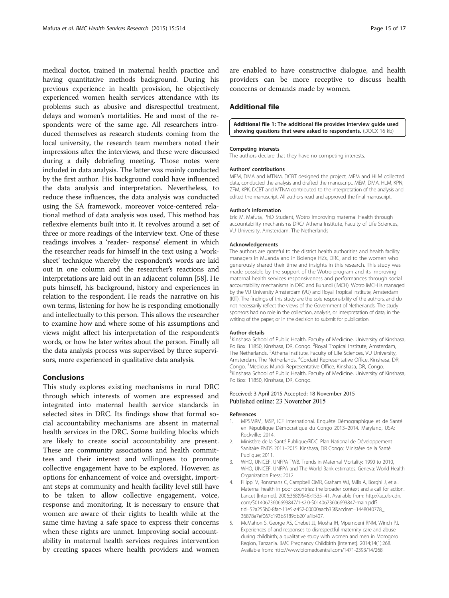<span id="page-14-0"></span>medical doctor, trained in maternal health practice and having quantitative methods background. During his previous experience in health provision, he objectively experienced women health services attendance with its problems such as abusive and disrespectful treatment, delays and women's mortalities. He and most of the respondents were of the same age. All researchers introduced themselves as research students coming from the local university, the research team members noted their impressions after the interviews, and these were discussed during a daily debriefing meeting. Those notes were included in data analysis. The latter was mainly conducted by the first author. His background could have influenced the data analysis and interpretation. Nevertheless, to reduce these influences, the data analysis was conducted using the SA framework, moreover voice-centered relational method of data analysis was used. This method has reflexive elements built into it. It revolves around a set of three or more readings of the interview text. One of these readings involves a 'reader- response' element in which the researcher reads for himself in the text using a 'worksheet' technique whereby the respondent's words are laid out in one column and the researcher's reactions and interpretations are laid out in an adjacent column [\[58\]](#page-16-0). He puts himself, his background, history and experiences in relation to the respondent. He reads the narrative on his own terms, listening for how he is responding emotionally and intellectually to this person. This allows the researcher to examine how and where some of his assumptions and views might affect his interpretation of the respondent's words, or how he later writes about the person. Finally all the data analysis process was supervised by three supervisors, more experienced in qualitative data analysis.

#### Conclusions

This study explores existing mechanisms in rural DRC through which interests of women are expressed and integrated into maternal health service standards in selected sites in DRC. Its findings show that formal social accountability mechanisms are absent in maternal health services in the DRC. Some building blocks which are likely to create social accountability are present. These are community associations and health committees and their interest and willingness to promote collective engagement have to be explored. However, as options for enhancement of voice and oversight, important steps at community and health facility level still have to be taken to allow collective engagement, voice, response and monitoring. It is necessary to ensure that women are aware of their rights to health while at the same time having a safe space to express their concerns when these rights are unmet. Improving social accountability in maternal health services requires intervention by creating spaces where health providers and women

are enabled to have constructive dialogue, and health providers can be more receptive to discuss health concerns or demands made by women.

#### Additional file

[Additional file 1:](dx.doi.org/10.1186/s12913-015-1176-6) The additional file provides interview guide used showing questions that were asked to respondents. (DOCX 16 kb)

#### Competing interests

The authors declare that they have no competing interests.

#### Authors' contributions

MEM, DMA and MTNM, DCBT designed the project. MEM and HLM collected data, conducted the analysis and drafted the manuscript. MEM, DMA, HLM, KPN, ZFM, KPK, DCBT and MTNM contributed to the interpretation of the analysis and edited the manuscript. All authors read and approved the final manuscript.

#### Author's information

Eric M. Mafuta, PhD Student, Wotro Improving maternal Health through accountability mechanisms DRC/ Athena Institute, Faculty of Life Sciences, VU University, Amsterdam, The Netherlands

#### Acknowledgements

The authors are grateful to the district health authorities and health facility managers in Muanda and in Bolenge HZs, DRC, and to the women who generously shared their time and insights in this research. This study was made possible by the support of the Wotro program and its improving maternal health services responsiveness and performances through social accountability mechanisms in DRC and Burundi (IMCH). Wotro IMCH is managed by the VU University Amsterdam (VU) and Royal Tropical Institute, Amsterdam (KIT). The findings of this study are the sole responsibility of the authors, and do not necessarily reflect the views of the Government of Netherlands, The study sponsors had no role in the collection, analysis, or interpretation of data; in the writing of the paper; or in the decision to submit for publication.

#### Author details

<sup>1</sup> Kinshasa School of Public Health, Faculty of Medicine, University of Kinshasa, Po Box: 11850, Kinshasa, DR, Congo. <sup>2</sup>Royal Tropical Institute, Amsterdam, The Netherlands. <sup>3</sup>Athena Institute, Faculty of Life Sciences, VU University, Amsterdam, The Netherlands. <sup>4</sup>Cordaid Representative Office, Kinshasa, DR Congo. <sup>5</sup>Medicus Mundi Representative Office, Kinshasa, DR, Congo.<br><sup>6</sup>Kinshasa School of Public Hoalth, Faculty of Medicine, University of <sup>6</sup>Kinshasa School of Public Health, Faculty of Medicine, University of Kinshasa, Po Box: 11850, Kinshasa, DR, Congo.

#### Received: 3 April 2015 Accepted: 18 November 2015 Published online: 23 November 2015

#### References

- 1. MPSMRM, MSP, ICF International. Enquête Démographique et de Santé en République Démocratique du Congo 2013–2014. Maryland, USA: Rockville; 2014.
- 2. Ministère de la Santé Publique/RDC. Plan National de Développement Sanitaire PNDS 2011–2015. Kinshasa, DR Congo: Ministère de la Santé Publique; 2011.
- 3. WHO, UNICEF, UNFPA TWB. Trends in Maternal Mortality: 1990 to 2010, WHO, UNICEF, UNFPA and The World Bank estimates. Geneva: World Health Organization Press; 2012.
- 4. Filippi V, Ronsmans C, Campbell OMR, Graham WJ, Mills A, Borghi J, et al. Maternal health in poor countries: the broader context and a call for action. Lancet [Internet]. 2006;368(9546):1535–41. Available from: [http://ac.els-cdn.](http://ac.els-cdn.com/S0140673606693847/1-s2.0-S0140673606693847-main.pdf?_tid=52a255b0-8fac-11e5-a452-00000aacb35f&acdnat=1448040778_36878a7ef067c193b5189db201a1b407) [com/S0140673606693847/1-s2.0-S0140673606693847-main.pdf?\\_](http://ac.els-cdn.com/S0140673606693847/1-s2.0-S0140673606693847-main.pdf?_tid=52a255b0-8fac-11e5-a452-00000aacb35f&acdnat=1448040778_36878a7ef067c193b5189db201a1b407) [tid=52a255b0-8fac-11e5-a452-00000aacb35f&acdnat=1448040778\\_](http://ac.els-cdn.com/S0140673606693847/1-s2.0-S0140673606693847-main.pdf?_tid=52a255b0-8fac-11e5-a452-00000aacb35f&acdnat=1448040778_36878a7ef067c193b5189db201a1b407) [36878a7ef067c193b5189db201a1b407](http://ac.els-cdn.com/S0140673606693847/1-s2.0-S0140673606693847-main.pdf?_tid=52a255b0-8fac-11e5-a452-00000aacb35f&acdnat=1448040778_36878a7ef067c193b5189db201a1b407).
- 5. McMahon S, George AS, Chebet JJ, Mosha IH, Mpembeni RNM, Winch PJ. Experiences of and responses to disrespectful maternity care and abuse during childbirth; a qualitative study with women and men in Morogoro Region, Tanzania. BMC Pregnancy Childbirth [Internet]. 2014;14(1):268. Available from: [http://www.biomedcentral.com/1471-2393/14/268.](http://www.biomedcentral.com/1471-2393/14/268)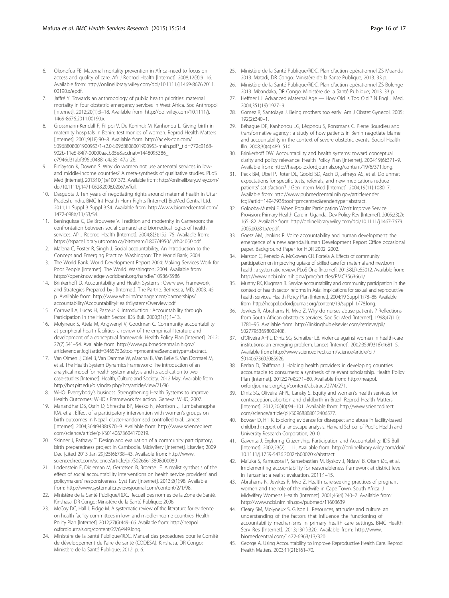- <span id="page-15-0"></span>6. Okonofua FE. Maternal mortality prevention in Africa–need to focus on access and quality of care. Afr J Reprod Health [Internet]. 2008;12(3):9–16. Available from: [http://onlinelibrary.wiley.com/doi/10.1111/j.1469-8676.2011.](http://onlinelibrary.wiley.com/doi/10.1111/j.1469-8676.2011.00190.x/epdf) [00190.x/epdf](http://onlinelibrary.wiley.com/doi/10.1111/j.1469-8676.2011.00190.x/epdf).
- 7. Jaffré Y. Towards an anthropology of public health priorities: maternal mortality in four obstetric emergency services in West Africa. Soc Anthropol [Internet]. 2012;20(1):3–18. Available from: [http://doi.wiley.com/10.1111/j.](http://doi.wiley.com/10.1111/j.1469-8676.2011.00190.x) [1469-8676.2011.00190.x](http://doi.wiley.com/10.1111/j.1469-8676.2011.00190.x).
- 8. Grossmann-Kendall F, Filippi V, De Koninck M, Kanhonou L. Giving birth in maternity hospitals in Benin: testimonies of women. Reprod Health Matters [Internet]. 2001;9(18):90–8. Available from: [http://ac.els-cdn.com/](http://ac.els-cdn.com/S0968808001900953/1-s2.0-S0968808001900953-main.pdf?_tid=772c0168-902b-11e5-84f7-00000aacb35e&acdnat=1448095386_e7946d31abf396b04881c4a35147a126) [S0968808001900953/1-s2.0-S0968808001900953-main.pdf?\\_tid=772c0168-](http://ac.els-cdn.com/S0968808001900953/1-s2.0-S0968808001900953-main.pdf?_tid=772c0168-902b-11e5-84f7-00000aacb35e&acdnat=1448095386_e7946d31abf396b04881c4a35147a126) [902b-11e5-84f7-00000aacb35e&acdnat=1448095386\\_](http://ac.els-cdn.com/S0968808001900953/1-s2.0-S0968808001900953-main.pdf?_tid=772c0168-902b-11e5-84f7-00000aacb35e&acdnat=1448095386_e7946d31abf396b04881c4a35147a126) [e7946d31abf396b04881c4a35147a126.](http://ac.els-cdn.com/S0968808001900953/1-s2.0-S0968808001900953-main.pdf?_tid=772c0168-902b-11e5-84f7-00000aacb35e&acdnat=1448095386_e7946d31abf396b04881c4a35147a126)
- 9. Finlayson K, Downe S. Why do women not use antenatal services in lowand middle-income countries? A meta-synthesis of qualitative studies. PLoS Med [Internet]. 2013;10(1):e1001373. Available from: [http://onlinelibrary.wiley.com/](http://onlinelibrary.wiley.com/doi/10.1111/j.1471-0528.2008.02067.x/full) [doi/10.1111/j.1471-0528.2008.02067.x/full.](http://onlinelibrary.wiley.com/doi/10.1111/j.1471-0528.2008.02067.x/full)
- 10. Dasgupta J. Ten years of negotiating rights around maternal health in Uttar Pradesh, India. BMC Int Health Hum Rights [Internet] BioMed Central Ltd. 2011;11 Suppl 3 Suppl 3:S4. Available from: [http://www.biomedcentral.com/](http://www.biomedcentral.com/1472-698X/11/S3/S4) [1472-698X/11/S3/S4](http://www.biomedcentral.com/1472-698X/11/S3/S4).
- 11. Beninguisse G, De Brouwere V. Tradition and modernity in Cameroon: the confrontation between social demand and biomedical logics of health services. Afr J Reprod Health [Internet]. 2004;8(3):152–75. Available from: <https://tspace.library.utoronto.ca/bitstream/1807/4950/1/rh04050.pdf>.
- 12. Malena C, Foster R, Singh J. Social accountability, An Introduction to the Concept and Emerging Practice. Washington: The World Bank; 2004.
- 13. The World Bank. World Development Report 2004: Making Services Work for Poor People [Internet]. The World. Washington; 2004. Available from: <https://openknowledge.worldbank.org/handle/10986/5986>
- 14. Brinkerhoff D. Accountability and Health Systems : Overview, Framework, and Strategies Prepared by : [Internet]. The Partne. Bethesda, MD; 2003. 45 p. Available from: [http://www.who.int/management/partnerships/](http://www.who.int/management/partnerships/accountability/AccountabilityHealthSystemsOverview.pdf) [accountability/AccountabilityHealthSystemsOverview.pdf](http://www.who.int/management/partnerships/accountability/AccountabilityHealthSystemsOverview.pdf)
- 15. Cornwall A, Lucas H, Pasteur K. Introduction : Accountability through Participation in the Health Sector. IDS Bull. 2000;31(1):1-13.
- 16. Molyneux S, Atela M, Angwenyi V, Goodman C. Community accountability at peripheral health facilities: a review of the empirical literature and development of a conceptual framework. Health Policy Plan [Internet]. 2012; 27(7):541–54. Available from: [http://www.pubmedcentral.nih.gov/](http://www.pubmedcentral.nih.gov/articlerender.fcgi?artid=3465752&tool=pmcentrez&rendertype=abstract) [articlerender.fcgi?artid=3465752&tool=pmcentrez&rendertype=abstract.](http://www.pubmedcentral.nih.gov/articlerender.fcgi?artid=3465752&tool=pmcentrez&rendertype=abstract)
- 17. Van Olmen J, Criel B, Van Damme W, Marchal B, Van Belle S, Van Dormael M, et al. The Health System Dynamics Framework: The introduction of an analytical model for health system analysis and its application to two case-studies [Internet]. Health, Culture and Society. 2012 May. Available from: <http://hcs.pitt.edu/ojs/index.php/hcs/article/view/71/96>
- 18. WHO. Evereybody's business: Strengthening Health Systems to improve Health Outcomes: WHO's Framework for action. Geneva: WHO; 2007.
- 19. Manandhar DS, Osrin D, Shrestha BP, Mesko N, Morrison J, Tumbahangphe KM, et al. Effect of a participatory intervention with women's groups on birth outcomes in Nepal: cluster-randomised controlled trial. Lancet [Internet]. 2004;364(9438):970–9. Available from: [http://www.sciencedirect.](http://www.sciencedirect.com/science/article/pii/S0140673604170219) [com/science/article/pii/S0140673604170219.](http://www.sciencedirect.com/science/article/pii/S0140673604170219)
- 20. Skinner J, Rathavy T. Design and evaluation of a community participatory, birth preparedness project in Cambodia. Midwifery [Internet]. Elsevier; 2009 Dec [cited 2013 Jan 29];25(6):738–43. Available from: [http://www.](http://www.sciencedirect.com/science/article/pii/S0266613808000089) [sciencedirect.com/science/article/pii/S0266613808000089](http://www.sciencedirect.com/science/article/pii/S0266613808000089)
- 21. Lodenstein E, Dieleman M, Gerretsen B, Broerse JE. A realist synthesis of the effect of social accountability interventions on health service providers' and policymakers' responsiveness. Syst Rev [Internet]. 2013;2(1):98. Available from: [http://www.systematicreviewsjournal.com/content/2/1/98.](http://www.systematicreviewsjournal.com/content/2/1/98)
- 22. Ministère de la Santé Publique/RDC. Recueil des normes de la Zone de Santé. Kinshasa, DR Congo: Ministère de la Santé Publique; 2006.
- 23. McCoy DC, Hall J, Ridge M. A systematic review of the literature for evidence on health facility committees in low- and middle-income countries. Health Policy Plan [Internet]. 2012;27(6):449–66. Available from: [http://heapol.](http://heapol.oxfordjournals.org/content/27/6/449.long) [oxfordjournals.org/content/27/6/449.long](http://heapol.oxfordjournals.org/content/27/6/449.long).
- 24. Ministère de la Santé Publique/RDC. Manuel des procédures pour le Comité de développement de l'aire de santé (CODESA). Kinshasa, DR Congo: Ministère de la Santé Publique; 2012. p. 6.
- 25. Ministère de la Santé Publique/RDC. Plan d'action opérationnel ZS Muanda 2013. Matadi, DR Congo: Ministère de la Santé Publique; 2013. 33 p.
- 26. Ministère de la Santé Publique/RDC. Plan d'action opérationnel ZS Bolenge 2013. Mbandaka, DR Congo: Ministère de la Santé Publique; 2013. 33 p.
- 27. Heffner LJ. Advanced Maternal Age How Old Is Too Old ? N Engl J Med. 2004;351(19):1927–9.
- 28. Gomez R, Santolaya J. Being mothers too early. Am J Obstet Gynecol. 2005; 192(2):340–1.
- 29. Béhague DP, Kanhonou LG, Lègonou S, Ronsmans C. Pierre Bourdieu and transformative agency : a study of how patients in Benin negotiate blame and accountability in the context of severe obstetric events. Sociol Health Illn. 2008;30(4):489–510.
- 30. Brinkerhoff DW. Accountability and health systems: toward conceptual clarity and policy relevance. Health Policy Plan [Internet]. 2004;19(6):371–9. Available from: [http://heapol.oxfordjournals.org/content/19/6/371.long.](http://heapol.oxfordjournals.org/content/19/6/371.long)
- 31. Peck BM, Ubel P, Roter DL, Goold SD, Asch D, Jeffreys AS, et al. Do unmet expectations for specific tests, referrals, and new medications reduce patients' satisfaction? J Gen Intern Med [Internet]. 2004;19(11):1080–7. Available from: [http://www.pubmedcentral.nih.gov/articlerender.](http://www.pubmedcentral.nih.gov/articlerender.fcgi?artid=1494793&tool=pmcentrez&rendertype=abstract) [fcgi?artid=1494793&tool=pmcentrez&rendertype=abstract.](http://www.pubmedcentral.nih.gov/articlerender.fcgi?artid=1494793&tool=pmcentrez&rendertype=abstract)
- 32. Golooba-Mutebi F. When Popular Participation Won't Improve Service Provision: Primary Health Care in Uganda. Dev Policy Rev [Internet]. 2005;23(2): 165–82. Available from: [http://onlinelibrary.wiley.com/doi/10.1111/j.1467-7679.](http://onlinelibrary.wiley.com/doi/10.1111/j.1467-7679.2005.00281.x/epdf) [2005.00281.x/epdf.](http://onlinelibrary.wiley.com/doi/10.1111/j.1467-7679.2005.00281.x/epdf)
- 33. Goetz AM, Jenkins R. Voice accountability and human development: the emergence of a new agenda.Human Development Report Office occasional paper. Background Paper for HDR 2002. 2002.
- 34. Marston C, Renedo A, McGowan CR, Portela A. Effects of community participation on improving uptake of skilled care for maternal and newborn health: a systematic review. PLoS One [Internet]. 2013;8(2):e55012. Available from: [http://www.ncbi.nlm.nih.gov/pmc/articles/PMC3563661/.](http://www.ncbi.nlm.nih.gov/pmc/articles/PMC3563661/)
- 35. Murthy RK, Klugman B. Service accountability and community participation in the context of health sector reforms in Asia: implications for sexual and reproductive health services. Health Policy Plan [Internet]. 2004;19 Suppl 1:i78–86. Available from: [http://heapol.oxfordjournals.org/content/19/suppl\\_1/i78.long.](http://heapol.oxfordjournals.org/content/19/suppl_1/i78.long)
- 36. Jewkes R, Abrahams N, Mvo Z. Why do nurses abuse patients ? Reflections from South African obstetrics services. Soc Sci Med [Internet]. 1998;47(11): 1781–95. Available from: [http://linkinghub.elsevier.com/retrieve/pii/](http://linkinghub.elsevier.com/retrieve/pii/S0277953698002408) [S0277953698002408.](http://linkinghub.elsevier.com/retrieve/pii/S0277953698002408)
- 37. d'Oliveira AFPL, Diniz SG, Schraiber LB. Violence against women in health-care institutions: an emerging problem. Lancet [Internet]. 2002;359(9318):1681–5. Available from: [http://www.sciencedirect.com/science/article/pii/](http://www.sciencedirect.com/science/article/pii/S0140673602085926) [S0140673602085926](http://www.sciencedirect.com/science/article/pii/S0140673602085926).
- 38. Berlan D, Shiffman J. Holding health providers in developing countries accountable to consumers: a synthesis of relevant scholarship. Health Policy Plan [Internet]. 2012;27(4):271–80. Available from: [http://heapol.](http://heapol.oxfordjournals.org/cgi/content/abstract/27/4/271) [oxfordjournals.org/cgi/content/abstract/27/4/271](http://heapol.oxfordjournals.org/cgi/content/abstract/27/4/271).
- 39. Diniz SG, Oliveira AFPL, Lansky S. Equity and women's health services for contraception, abortion and childbirth in Brazil. Reprod Health Matters [Internet]. 2012;20(40):94–101. Available from: [http://www.sciencedirect.](http://www.sciencedirect.com/science/article/pii/S0968808012406577) [com/science/article/pii/S0968808012406577.](http://www.sciencedirect.com/science/article/pii/S0968808012406577)
- 40. Bowser D, Hill K. Exploring evidence for disrespect and abuse in facility-based childbirth: report of a landscape analysis. Harvard School of Public Health and University Research Corporation; 2010.
- 41. Gaventa J. Exploring Citizenship, Participation and Accountability. IDS Bull [Internet]. 2002;23(2):1–11. Available from: [http://onlinelibrary.wiley.com/doi/](http://onlinelibrary.wiley.com/doi/10.1111/j.1759-5436.2002.tb00020.x/abstract) [10.1111/j.1759-5436.2002.tb00020.x/abstract.](http://onlinelibrary.wiley.com/doi/10.1111/j.1759-5436.2002.tb00020.x/abstract)
- 42. Maluka S, Kamuzora P, Sansebastián M, Byskov J, Ndawi B, Olsen ØE, et al. Implementing accountability for reasonableness framework at district level in Tanzania : a realist evaluation. 2011;1–15.
- 43. Abrahams N, Jewkes R, Mvo Z. Health care-seeking practices of pregnant women and the role of the midwife in Cape Town, South Africa. J Midwifery Womens Health [Internet]. 2001;46(4):240–7. Available from: <http://www.ncbi.nlm.nih.gov/pubmed/11603639>
- 44. Cleary SM, Molyneux S, Gilson L. Resources, attitudes and culture: an understanding of the factors that influence the functioning of accountability mechanisms in primary health care settings. BMC Health Serv Res [Internet]. 2013;13(1):320. Available from: [http://www.](http://www.biomedcentral.com/1472-6963/13/320) [biomedcentral.com/1472-6963/13/320.](http://www.biomedcentral.com/1472-6963/13/320)
- 45. George A. Using Accountability to Improve Reproductive Health Care. Reprod Health Matters. 2003;11(21):161–70.